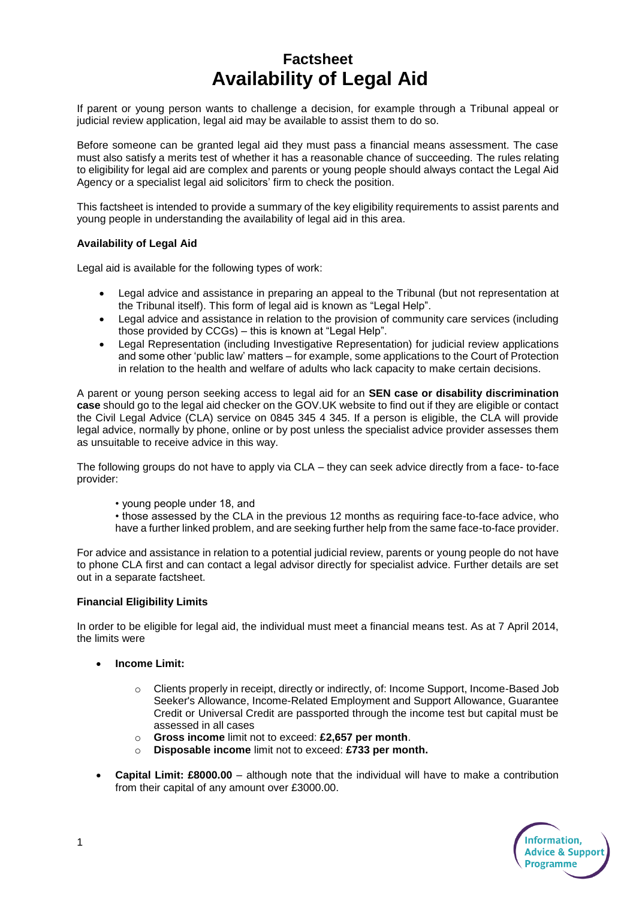## **Factsheet Availability of Legal Aid**

If parent or young person wants to challenge a decision, for example through a Tribunal appeal or judicial review application, legal aid may be available to assist them to do so.

Before someone can be granted legal aid they must pass a financial means assessment. The case must also satisfy a merits test of whether it has a reasonable chance of succeeding. The rules relating to eligibility for legal aid are complex and parents or young people should always contact the Legal Aid Agency or a specialist legal aid solicitors' firm to check the position.

This factsheet is intended to provide a summary of the key eligibility requirements to assist parents and young people in understanding the availability of legal aid in this area.

## **Availability of Legal Aid**

Legal aid is available for the following types of work:

- Legal advice and assistance in preparing an appeal to the Tribunal (but not representation at the Tribunal itself). This form of legal aid is known as "Legal Help".
- Legal advice and assistance in relation to the provision of community care services (including those provided by CCGs) – this is known at "Legal Help".
- Legal Representation (including Investigative Representation) for judicial review applications and some other 'public law' matters – for example, some applications to the Court of Protection in relation to the health and welfare of adults who lack capacity to make certain decisions.

A parent or young person seeking access to legal aid for an **SEN case or disability discrimination case** should go to the legal aid checker on the GOV.UK website to find out if they are eligible or contact the Civil Legal Advice (CLA) service on 0845 345 4 345. If a person is eligible, the CLA will provide legal advice, normally by phone, online or by post unless the specialist advice provider assesses them as unsuitable to receive advice in this way.

The following groups do not have to apply via CLA – they can seek advice directly from a face- to-face provider:

- young people under 18, and
- those assessed by the CLA in the previous 12 months as requiring face-to-face advice, who have a further linked problem, and are seeking further help from the same face-to-face provider.

For advice and assistance in relation to a potential judicial review, parents or young people do not have to phone CLA first and can contact a legal advisor directly for specialist advice. Further details are set out in a separate factsheet.

## **Financial Eligibility Limits**

In order to be eligible for legal aid, the individual must meet a financial means test. As at 7 April 2014, the limits were

- **Income Limit:** 
	- o Clients properly in receipt, directly or indirectly, of: Income Support, Income-Based Job Seeker's Allowance, Income-Related Employment and Support Allowance, Guarantee Credit or Universal Credit are passported through the income test but capital must be assessed in all cases
	- o **Gross income** limit not to exceed: **£2,657 per month**.
	- o **Disposable income** limit not to exceed: **£733 per month.**
- **Capital Limit: £8000.00** although note that the individual will have to make a contribution from their capital of any amount over £3000.00.